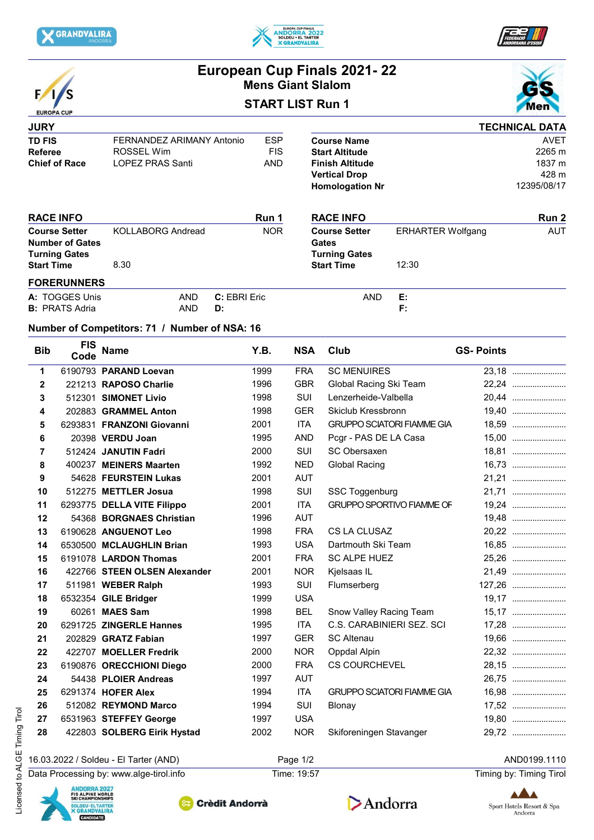





|                                                                        |                                              |                                               |                                  | <b>Mens Giant Slalom</b> |            | European Cup Finals 2021-22                                                       |                        |                          |                       |
|------------------------------------------------------------------------|----------------------------------------------|-----------------------------------------------|----------------------------------|--------------------------|------------|-----------------------------------------------------------------------------------|------------------------|--------------------------|-----------------------|
|                                                                        | <b>START LIST Run 1</b><br><b>EUROPA CUP</b> |                                               |                                  |                          |            |                                                                                   |                        | Men                      |                       |
| <b>JURY</b>                                                            |                                              |                                               |                                  |                          |            |                                                                                   |                        |                          | <b>TECHNICAL DATA</b> |
| <b>TD FIS</b>                                                          |                                              | FERNANDEZ ARIMANY Antonio                     |                                  |                          | <b>ESP</b> |                                                                                   | <b>Course Name</b>     |                          | <b>AVET</b>           |
| <b>Referee</b>                                                         |                                              | <b>ROSSEL Wim</b>                             |                                  |                          |            |                                                                                   | <b>Start Altitude</b>  |                          | 2265 m                |
| <b>Chief of Race</b>                                                   |                                              |                                               | <b>LOPEZ PRAS Santi</b>          |                          |            |                                                                                   | <b>Finish Altitude</b> |                          | 1837 m                |
|                                                                        |                                              |                                               |                                  |                          |            |                                                                                   | <b>Vertical Drop</b>   |                          | 428 m                 |
|                                                                        |                                              |                                               |                                  |                          |            |                                                                                   | <b>Homologation Nr</b> |                          | 12395/08/17           |
|                                                                        | <b>RACE INFO</b>                             |                                               |                                  |                          | Run 1      |                                                                                   | <b>RACE INFO</b>       |                          | Run 2                 |
| <b>Course Setter</b><br><b>Number of Gates</b><br><b>Turning Gates</b> |                                              |                                               | <b>KOLLABORG Andread</b><br>8.30 |                          |            | <b>Course Setter</b><br><b>Gates</b><br><b>Turning Gates</b><br><b>Start Time</b> |                        | <b>ERHARTER Wolfgang</b> | <b>AUT</b>            |
| <b>Start Time</b>                                                      |                                              |                                               |                                  |                          |            |                                                                                   |                        | 12:30                    |                       |
|                                                                        | <b>FORERUNNERS</b>                           |                                               |                                  |                          |            |                                                                                   |                        |                          |                       |
|                                                                        | A: TOGGES Unis                               |                                               | <b>AND</b>                       | C: EBRI Eric             |            |                                                                                   | <b>AND</b>             | E:                       |                       |
|                                                                        | <b>B:</b> PRATS Adria                        |                                               | <b>AND</b>                       | D:                       |            |                                                                                   |                        | F:                       |                       |
|                                                                        |                                              | Number of Competitors: 71 / Number of NSA: 16 |                                  |                          |            |                                                                                   |                        |                          |                       |
| <b>Bib</b>                                                             | <b>FIS</b><br>Code                           | <b>Name</b>                                   |                                  |                          | Y.B.       | <b>NSA</b>                                                                        | Club                   | <b>GS-Points</b>         |                       |
| 1                                                                      |                                              | 6190793 PARAND Loevan                         |                                  |                          | 1999       | <b>FRA</b>                                                                        | <b>SC MENUIRES</b>     |                          | 23,18                 |
|                                                                        |                                              | $0.04040$ $BADOOO$ $BEDO$                     |                                  |                          | 1000       | $\cap$                                                                            | Clabel Dealer Cld Team |                          | 22.21                 |

| 1  | 6190793 <b>PARAND Loevan</b> | 1999 | FRA        | <b>SC MENUIRES</b>                | 23.18  |
|----|------------------------------|------|------------|-----------------------------------|--------|
| 2  | 221213 RAPOSO Charlie        | 1996 | <b>GBR</b> | Global Racing Ski Team            | 22,24  |
| 3  | 512301 SIMONET Livio         | 1998 | <b>SUI</b> | Lenzerheide-Valbella              | 20,44  |
| 4  | 202883 GRAMMEL Anton         | 1998 | <b>GER</b> | Skiclub Kressbronn                | 19,40  |
| 5  | 6293831 FRANZONI Giovanni    | 2001 | <b>ITA</b> | <b>GRUPPO SCIATORI FIAMME GIA</b> | 18,59  |
| 6  | 20398 VERDU Joan             | 1995 | <b>AND</b> | Pcgr - PAS DE LA Casa             | 15,00  |
| 7  | 512424 JANUTIN Fadri         | 2000 | SUI        | SC Obersaxen                      | 18,81  |
| 8  | 400237 MEINERS Maarten       | 1992 | <b>NED</b> | <b>Global Racing</b>              | 16,73  |
| 9  | 54628 FEURSTEIN Lukas        | 2001 | <b>AUT</b> |                                   | 21,21  |
| 10 | 512275 METTLER Josua         | 1998 | SUI        | SSC Toggenburg                    | 21,71  |
| 11 | 6293775 DELLA VITE Filippo   | 2001 | <b>ITA</b> | <b>GRUPPO SPORTIVO FIAMME OF</b>  | 19,24  |
| 12 | 54368 BORGNAES Christian     | 1996 | <b>AUT</b> |                                   | 19,48  |
| 13 | 6190628 ANGUENOT Leo         | 1998 | <b>FRA</b> | CS LA CLUSAZ                      | 20,22  |
| 14 | 6530500 MCLAUGHLIN Brian     | 1993 | <b>USA</b> | Dartmouth Ski Team                |        |
| 15 | 6191078 LARDON Thomas        | 2001 | <b>FRA</b> | <b>SC ALPE HUEZ</b>               | 25,26  |
| 16 | 422766 STEEN OLSEN Alexander | 2001 | <b>NOR</b> | Kjelsaas IL                       | 21,49  |
| 17 | 511981 WEBER Ralph           | 1993 | SUI        | Flumserberg                       | 127,26 |
| 18 | 6532354 GILE Bridger         | 1999 | <b>USA</b> |                                   | 19,17  |
| 19 | 60261 MAES Sam               | 1998 | <b>BEL</b> | Snow Valley Racing Team           | 15,17  |
| 20 | 6291725 ZINGERLE Hannes      | 1995 | <b>ITA</b> | C.S. CARABINIERI SEZ. SCI         | 17,28  |
| 21 | 202829 GRATZ Fabian          | 1997 | <b>GER</b> | <b>SC Altenau</b>                 | 19,66  |
| 22 | 422707 MOELLER Fredrik       | 2000 | <b>NOR</b> | Oppdal Alpin                      | 22,32  |
| 23 | 6190876 ORECCHIONI Diego     | 2000 | <b>FRA</b> | <b>CS COURCHEVEL</b>              | 28,15  |
| 24 | 54438 PLOIER Andreas         | 1997 | <b>AUT</b> |                                   | 26,75  |
| 25 | 6291374 HOFER Alex           | 1994 | <b>ITA</b> | <b>GRUPPO SCIATORI FIAMME GIA</b> | 16,98  |
| 26 | 512082 REYMOND Marco         | 1994 | SUI        | Blonay                            | 17,52  |
| 27 | 6531963 STEFFEY George       | 1997 | <b>USA</b> |                                   |        |
| 28 | 422803 SOLBERG Eirik Hystad  | 2002 | <b>NOR</b> | Skiforeningen Stavanger           | 29,72  |
|    |                              |      |            |                                   |        |

16.03.2022 / Soldeu - El Tarter (AND) Page 1/2 AND0199.1110

Data Processing by: www.alge-tirol.info Time: 19:57 Time: 19:57 Timing by: Timing by: Timing Tirol